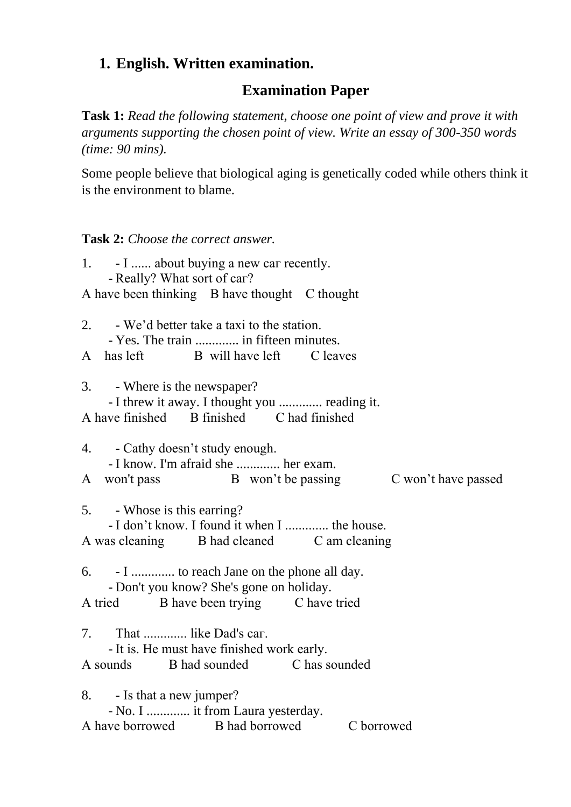## **1. English. Written examination.**

## **Examination Paper**

**Task 1:** *Read the following statement, choose one point of view and prove it with arguments supporting the chosen point of view. Write an essay of 300-350 words (time: 90 mins).*

Some people believe that biological aging is genetically coded while others think it is the environment to blame.

**Task 2:** *Choose the correct answer.*

| 1. - I  about buying a new car recently.<br>- Really? What sort of car?                                                            |
|------------------------------------------------------------------------------------------------------------------------------------|
| A have been thinking B have thought C thought                                                                                      |
| 2. - We'd better take a taxi to the station.                                                                                       |
| - Yes. The train  in fifteen minutes.<br>A has left B will have left C leaves                                                      |
| 3. - Where is the newspaper?<br>- I threw it away. I thought you  reading it.                                                      |
| A have finished B finished C had finished                                                                                          |
| 4. - Cathy doesn't study enough.<br>- I know. I'm afraid she  her exam.                                                            |
| A won't pass B won't be passing C won't have passed                                                                                |
| 5. - Whose is this earring?<br>- I don't know. I found it when I  the house.<br>A was cleaning B had cleaned C am cleaning         |
| 6. - I  to reach Jane on the phone all day.<br>- Don't you know? She's gone on holiday.<br>A tried B have been trying C have tried |
|                                                                                                                                    |
| 7. That  like Dad's car.<br>- It is. He must have finished work early.                                                             |
| A sounds B had sounded C has sounded                                                                                               |
| 8. - Is that a new jumper?<br>- No. I  it from Laura yesterday.                                                                    |
| A have borrowed B had borrowed<br>C borrowed                                                                                       |